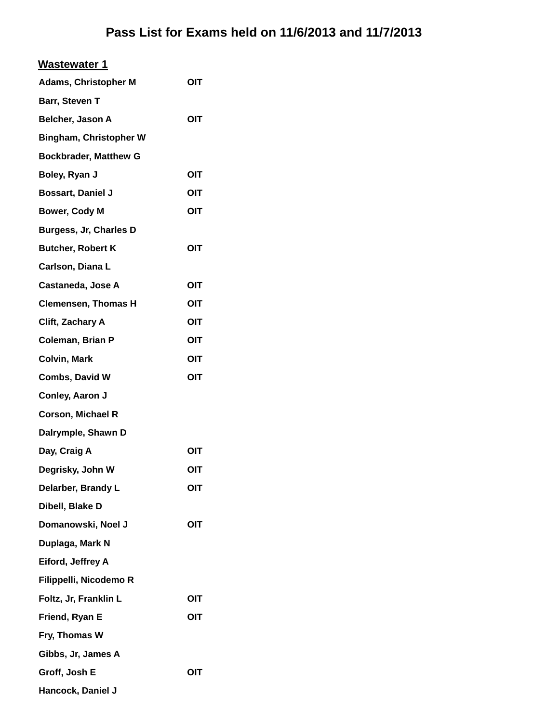| <b>Wastewater 1</b>           |            |
|-------------------------------|------------|
| <b>Adams, Christopher M</b>   | OIT        |
| Barr, Steven T                |            |
| Belcher, Jason A              | <b>OIT</b> |
| <b>Bingham, Christopher W</b> |            |
| <b>Bockbrader, Matthew G</b>  |            |
| Boley, Ryan J                 | OIT        |
| <b>Bossart, Daniel J</b>      | OIT        |
| <b>Bower, Cody M</b>          | OIT        |
| Burgess, Jr, Charles D        |            |
| <b>Butcher, Robert K</b>      | OIT        |
| Carlson, Diana L              |            |
| <b>Castaneda, Jose A</b>      | OIT        |
| <b>Clemensen, Thomas H</b>    | <b>OIT</b> |
| Clift, Zachary A              | OIT        |
| Coleman, Brian P              | OIT        |
| <b>Colvin, Mark</b>           | OIT        |
| Combs, David W                | OIT        |
| Conley, Aaron J               |            |
| <b>Corson, Michael R</b>      |            |
| Dalrymple, Shawn D            |            |
| Day, Craig A                  | OIT        |
| Degrisky, John W              | OIT        |
| Delarber, Brandy L            | OIT        |
| Dibell, Blake D               |            |
| Domanowski, Noel J            | <b>OIT</b> |
| Duplaga, Mark N               |            |
| Eiford, Jeffrey A             |            |
| Filippelli, Nicodemo R        |            |
| Foltz, Jr, Franklin L         | OIT        |
| Friend, Ryan E                | OIT        |
| Fry, Thomas W                 |            |
| Gibbs, Jr, James A            |            |
| Groff, Josh E                 | OIT        |
| Hancock, Daniel J             |            |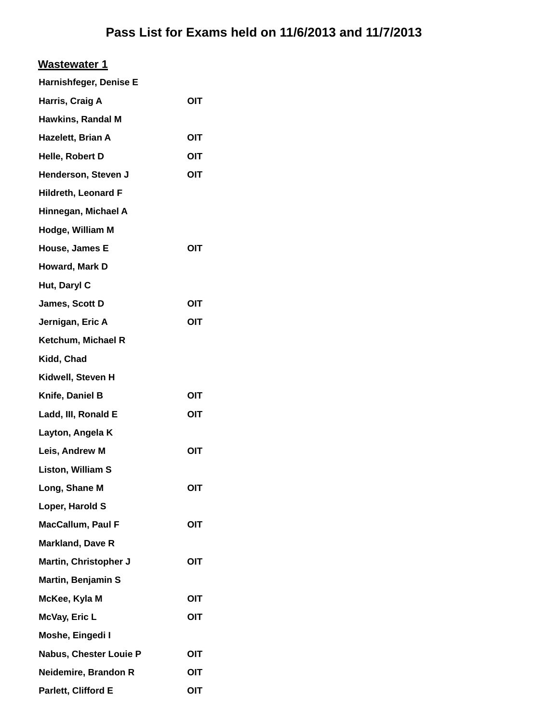| <u>Wastewater 1</u>        |            |
|----------------------------|------------|
| Harnishfeger, Denise E     |            |
| Harris, Craig A            | OIT        |
| <b>Hawkins, Randal M</b>   |            |
| Hazelett, Brian A          | OIT        |
| Helle, Robert D            | OIT        |
| Henderson, Steven J        | OIT        |
| <b>Hildreth, Leonard F</b> |            |
| Hinnegan, Michael A        |            |
| Hodge, William M           |            |
| House, James E             | OIT        |
| Howard, Mark D             |            |
| Hut, Daryl C               |            |
| James, Scott D             | OIT        |
| Jernigan, Eric A           | OIT        |
| Ketchum, Michael R         |            |
| Kidd, Chad                 |            |
| Kidwell, Steven H          |            |
| Knife, Daniel B            | OIT        |
| Ladd, III, Ronald E        | OIT        |
| Layton, Angela K           |            |
| Leis, Andrew M             | <b>OIT</b> |
| <b>Liston, William S</b>   |            |
| Long, Shane M              | OIT        |
| Loper, Harold S            |            |
| MacCallum, Paul F          | OIT        |
| <b>Markland, Dave R</b>    |            |
| Martin, Christopher J      | OIT        |
| <b>Martin, Benjamin S</b>  |            |
| McKee, Kyla M              | OIT        |
| McVay, Eric L              | OIT        |
| Moshe, Eingedi I           |            |
| Nabus, Chester Louie P     | OIT        |
| Neidemire, Brandon R       | OIT        |
| Parlett, Clifford E        | OIT        |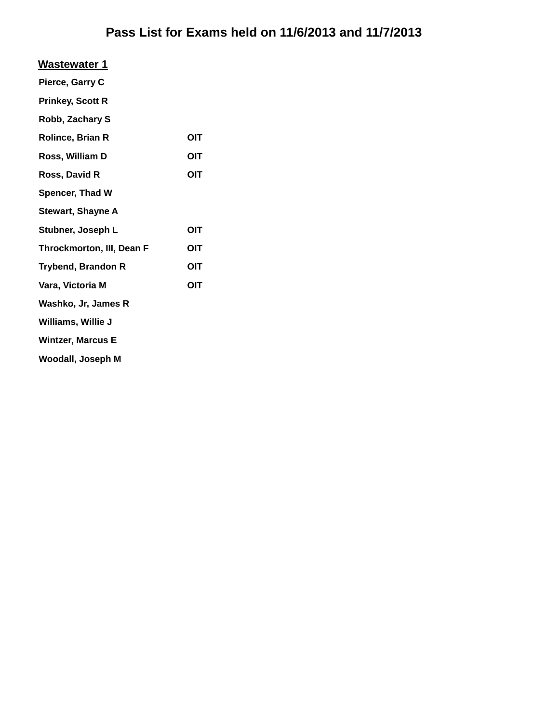| <b>Wastewater 1</b>              |     |
|----------------------------------|-----|
| Pierce, Garry C                  |     |
| <b>Prinkey, Scott R</b>          |     |
| Robb, Zachary S                  |     |
| <b>Rolince, Brian R</b>          | OIT |
| Ross, William D                  | OIT |
| Ross, David R                    | OIT |
| Spencer, Thad W                  |     |
| <b>Stewart, Shayne A</b>         |     |
| Stubner, Joseph L                | OIT |
| <b>Throckmorton, III, Dean F</b> | OIT |
| <b>Trybend, Brandon R</b>        | OIT |
| Vara, Victoria M                 | ΟΙΤ |
| Washko, Jr, James R              |     |
| Williams, Willie J               |     |
| <b>Wintzer, Marcus E</b>         |     |
| Woodall, Joseph M                |     |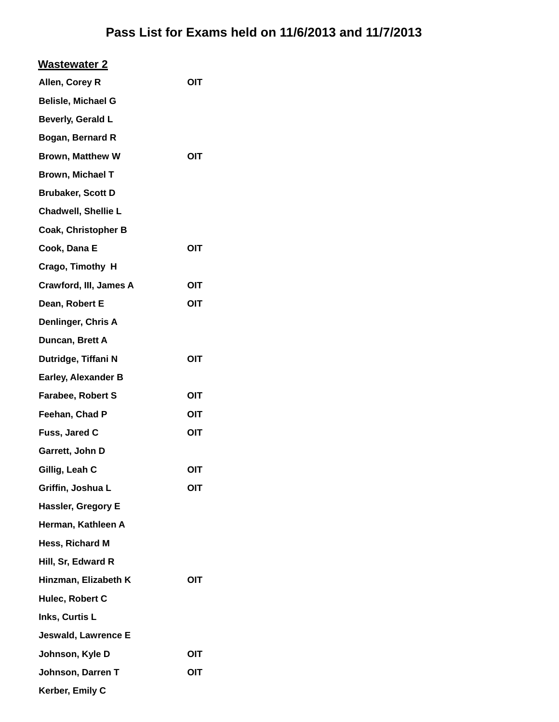| <b>Wastewater 2</b>        |     |
|----------------------------|-----|
| Allen, Corey R             | OIT |
| <b>Belisle, Michael G</b>  |     |
| Beverly, Gerald L          |     |
| Bogan, Bernard R           |     |
| <b>Brown, Matthew W</b>    | OIT |
| <b>Brown, Michael T</b>    |     |
| <b>Brubaker, Scott D</b>   |     |
| <b>Chadwell, Shellie L</b> |     |
| <b>Coak, Christopher B</b> |     |
| Cook, Dana E               | OIT |
| Crago, Timothy H           |     |
| Crawford, III, James A     | OIT |
| Dean, Robert E             | OIT |
| Denlinger, Chris A         |     |
| Duncan, Brett A            |     |
| Dutridge, Tiffani N        | OIT |
| <b>Earley, Alexander B</b> |     |
| <b>Farabee, Robert S</b>   | OIT |
| Feehan, Chad P             | OIT |
| Fuss, Jared C              | OIT |
| Garrett, John D            |     |
| Gillig, Leah C             | OIT |
| Griffin, Joshua L          | OIT |
| Hassler, Gregory E         |     |
| Herman, Kathleen A         |     |
| Hess, Richard M            |     |
| Hill, Sr, Edward R         |     |
| Hinzman, Elizabeth K       | OIT |
| Hulec, Robert C            |     |
| Inks, Curtis L             |     |
| Jeswald, Lawrence E        |     |
| Johnson, Kyle D            | OIT |
| Johnson, Darren T          | OIT |
| Kerber, Emily C            |     |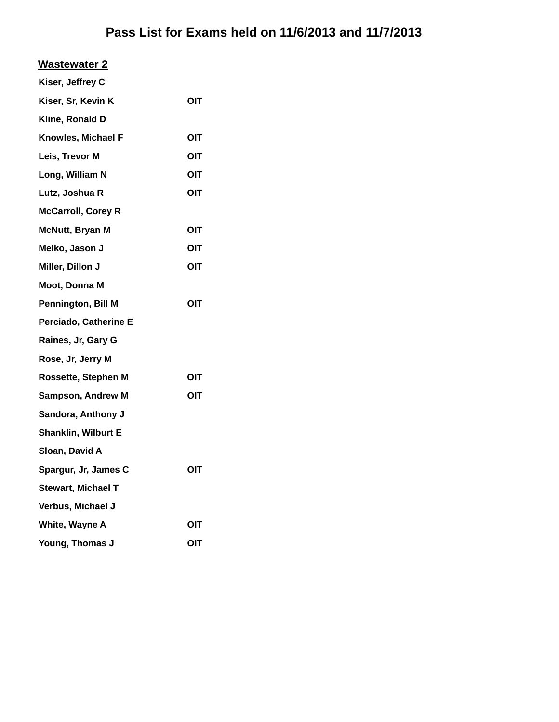#### **Wastewater 2**

| Kiser, Jeffrey C           |     |
|----------------------------|-----|
| Kiser, Sr, Kevin K         | OIT |
| Kline, Ronald D            |     |
| Knowles, Michael F         | OIT |
| Leis, Trevor M             | OIT |
| Long, William N            | OIT |
| Lutz, Joshua R             | OIT |
| <b>McCarroll, Corey R</b>  |     |
| <b>McNutt, Bryan M</b>     | OIT |
| Melko, Jason J             | OIT |
| Miller, Dillon J           | OIT |
| Moot, Donna M              |     |
| Pennington, Bill M         | OIT |
| Perciado, Catherine E      |     |
| Raines, Jr, Gary G         |     |
| Rose, Jr, Jerry M          |     |
| <b>Rossette, Stephen M</b> | OIT |
| <b>Sampson, Andrew M</b>   | ΟΙΤ |
| Sandora, Anthony J         |     |
| Shanklin, Wilburt E        |     |
| Sloan, David A             |     |
| Spargur, Jr, James C       | OIT |
| Stewart, Michael T         |     |
| Verbus, Michael J          |     |
| White, Wayne A             | ΟΙΤ |
| Young, Thomas J            | OIT |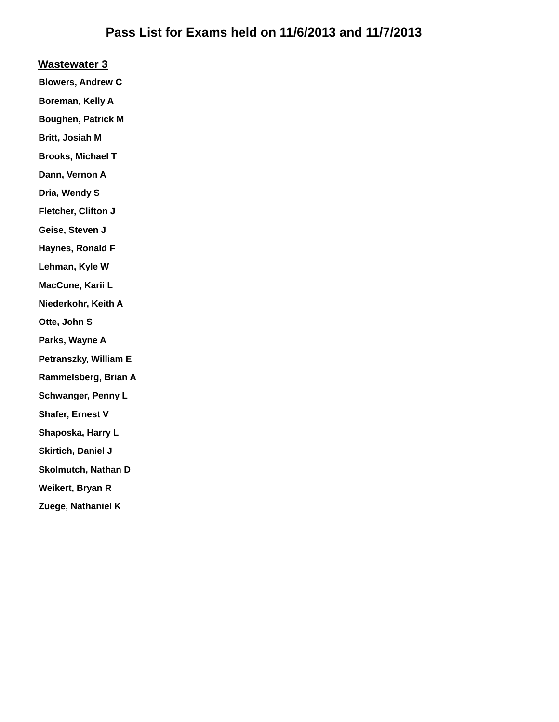#### **Wastewater 3**

**Blowers, Andrew C**

**Boreman, Kelly A**

**Boughen, Patrick M**

**Britt, Josiah M**

**Brooks, Michael T**

**Dann, Vernon A**

**Dria, Wendy S**

**Fletcher, Clifton J**

**Geise, Steven J**

**Haynes, Ronald F**

**Lehman, Kyle W**

**MacCune, Karii L**

**Niederkohr, Keith A**

**Otte, John S**

**Parks, Wayne A**

**Petranszky, William E**

**Rammelsberg, Brian A**

**Schwanger, Penny L**

**Shafer, Ernest V**

**Shaposka, Harry L**

**Skirtich, Daniel J**

**Skolmutch, Nathan D**

**Weikert, Bryan R**

**Zuege, Nathaniel K**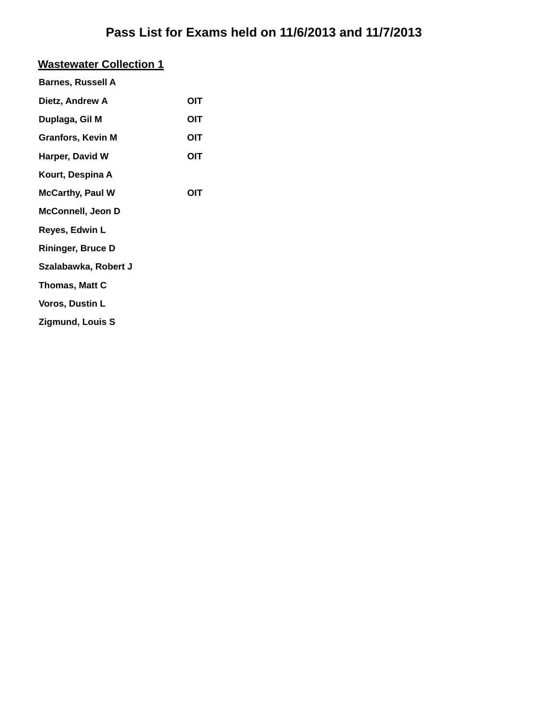# **Wastewater Collection 1**

| <b>Barnes, Russell A</b> |     |
|--------------------------|-----|
| Dietz, Andrew A          | OIT |
| Duplaga, Gil M           | OIT |
| <b>Granfors, Kevin M</b> | OIT |
| Harper, David W          | OIT |
| Kourt, Despina A         |     |
| <b>McCarthy, Paul W</b>  | ΟΙΤ |
| <b>McConnell, Jeon D</b> |     |
| Reyes, Edwin L           |     |
| <b>Rininger, Bruce D</b> |     |
| Szalabawka, Robert J     |     |
| <b>Thomas, Matt C</b>    |     |
| Voros, Dustin L          |     |
| <b>Zigmund, Louis S</b>  |     |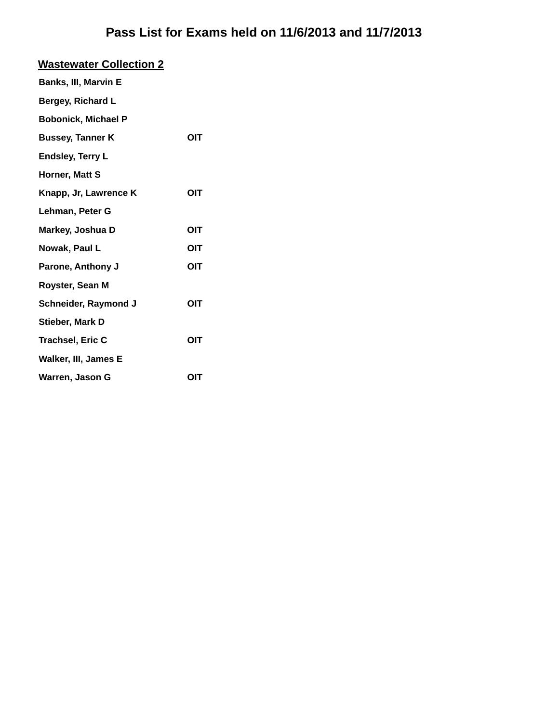| <b>Wastewater Collection 2</b> |            |
|--------------------------------|------------|
| <b>Banks, III, Marvin E</b>    |            |
| Bergey, Richard L              |            |
| <b>Bobonick, Michael P</b>     |            |
| <b>Bussey, Tanner K</b>        | OIT        |
| <b>Endsley, Terry L</b>        |            |
| Horner, Matt S                 |            |
| Knapp, Jr, Lawrence K          | OIT        |
| Lehman, Peter G                |            |
| Markey, Joshua D               | OIT        |
| Nowak, Paul L                  | ΟΙΤ        |
| Parone, Anthony J              | OIT        |
| Royster, Sean M                |            |
| Schneider, Raymond J           | <b>OIT</b> |
| <b>Stieber, Mark D</b>         |            |
| <b>Trachsel, Eric C</b>        | OIT        |
| Walker, III, James E           |            |
| Warren, Jason G                | OIT        |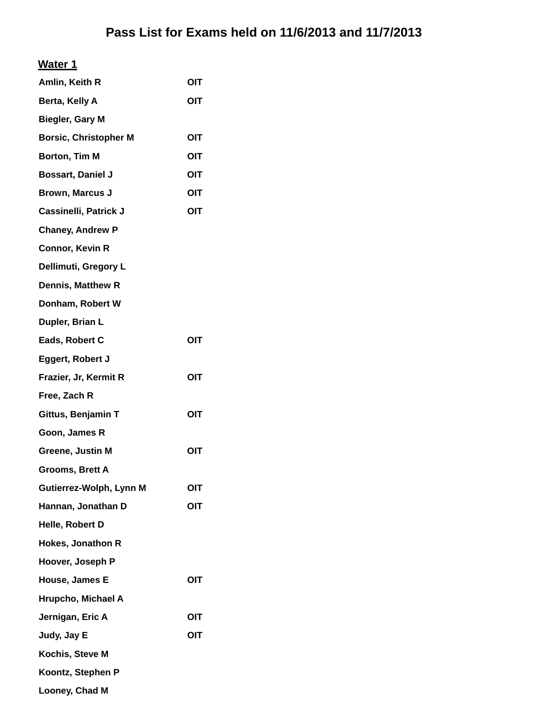| Amlin, Keith R               | OIT        |
|------------------------------|------------|
| Berta, Kelly A               | OIT        |
| <b>Biegler, Gary M</b>       |            |
| <b>Borsic, Christopher M</b> | OIT        |
| Borton, Tim M                | OIT        |
| <b>Bossart, Daniel J</b>     | OIT        |
| <b>Brown, Marcus J</b>       | OIT        |
| Cassinelli, Patrick J        | OIT        |
| <b>Chaney, Andrew P</b>      |            |
| <b>Connor, Kevin R</b>       |            |
| Dellimuti, Gregory L         |            |
| <b>Dennis, Matthew R</b>     |            |
| Donham, Robert W             |            |
| Dupler, Brian L              |            |
| Eads, Robert C               | <b>OIT</b> |
| Eggert, Robert J             |            |
| Frazier, Jr, Kermit R        | OIT        |
| Free, Zach R                 |            |
| Gittus, Benjamin T           | OIT        |
| Goon, James R                |            |
| Greene, Justin M             | <b>OIT</b> |
| Grooms, Brett A              |            |
| Gutierrez-Wolph, Lynn M      | OIT        |
| Hannan, Jonathan D           | OIT        |
| Helle, Robert D              |            |
| <b>Hokes, Jonathon R</b>     |            |
| Hoover, Joseph P             |            |
| House, James E               | OIT        |
| Hrupcho, Michael A           |            |
| Jernigan, Eric A             | <b>OIT</b> |
| Judy, Jay E                  | OIT        |
| Kochis, Steve M              |            |
| Koontz, Stephen P            |            |
| Looney, Chad M               |            |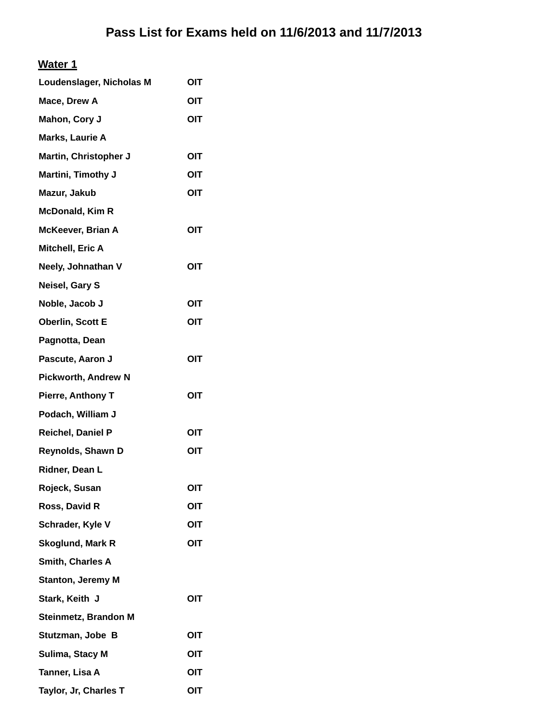| Loudenslager, Nicholas M   | OIT        |
|----------------------------|------------|
| Mace, Drew A               | OIT        |
| Mahon, Cory J              | OIT        |
| Marks, Laurie A            |            |
| Martin, Christopher J      | OIT        |
| Martini, Timothy J         | OIT        |
| Mazur, Jakub               | OIT        |
| <b>McDonald, Kim R</b>     |            |
| <b>McKeever, Brian A</b>   | OIT        |
| Mitchell, Eric A           |            |
| Neely, Johnathan V         | OIT        |
| Neisel, Gary S             |            |
| Noble, Jacob J             | <b>OIT</b> |
| Oberlin, Scott E           | OIT        |
| Pagnotta, Dean             |            |
| Pascute, Aaron J           | OIT        |
| <b>Pickworth, Andrew N</b> |            |
| <b>Pierre, Anthony T</b>   | OIT        |
| Podach, William J          |            |
| Reichel, Daniel P          | OIT        |
| Reynolds, Shawn D          | OIT        |
| Ridner, Dean L             |            |
| Rojeck, Susan              | OIT        |
| Ross, David R              | OIT        |
| Schrader, Kyle V           | OIT        |
| Skoglund, Mark R           | OIT        |
| Smith, Charles A           |            |
| <b>Stanton, Jeremy M</b>   |            |
| Stark, Keith J             | OIT        |
| Steinmetz, Brandon M       |            |
| Stutzman, Jobe B           | OIT        |
| Sulima, Stacy M            | OIT        |
| Tanner, Lisa A             | OIT        |
| Taylor, Jr, Charles T      | OIT        |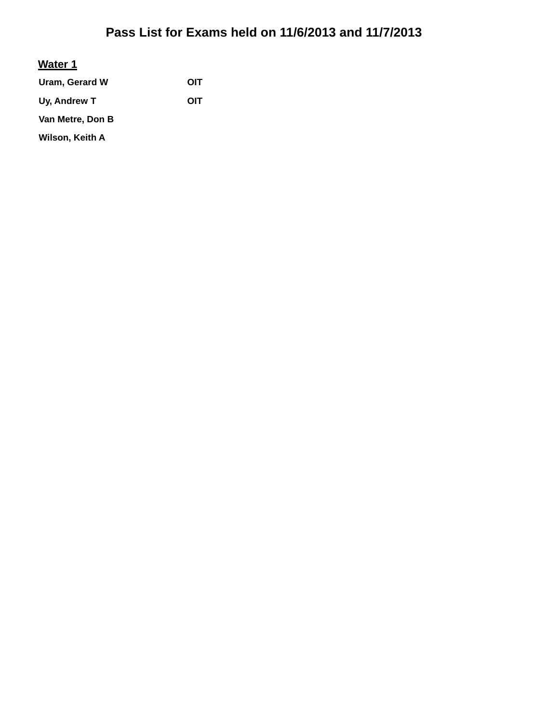#### **Water 1**

**Uram, Gerard W OIT** Uy, Andrew T **OIT Van Metre, Don B Wilson, Keith A**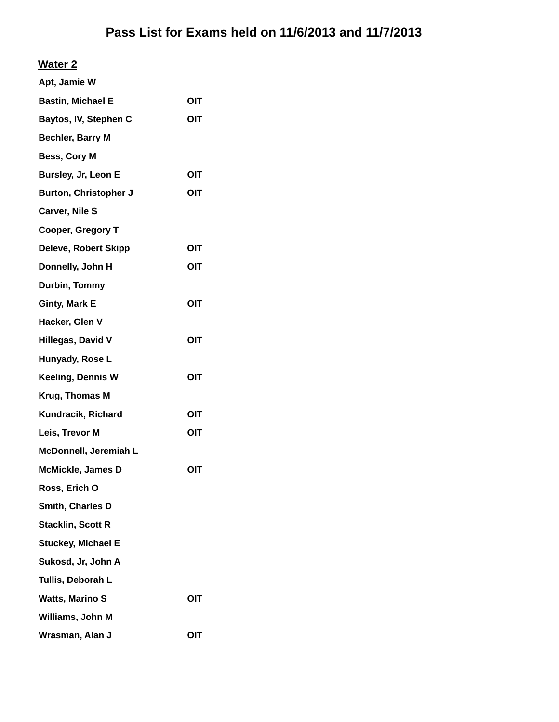| Apt, Jamie W                 |     |
|------------------------------|-----|
| <b>Bastin, Michael E</b>     | OIT |
| Baytos, IV, Stephen C        | OIT |
| Bechler, Barry M             |     |
| Bess, Cory M                 |     |
| Bursley, Jr, Leon E          | OIT |
| <b>Burton, Christopher J</b> | OIT |
| Carver, Nile S               |     |
| Cooper, Gregory T            |     |
| <b>Deleve, Robert Skipp</b>  | OIT |
| Donnelly, John H             | OIT |
| Durbin, Tommy                |     |
| Ginty, Mark E                | OIT |
| Hacker, Glen V               |     |
| <b>Hillegas, David V</b>     | OIT |
| Hunyady, Rose L              |     |
| Keeling, Dennis W            | OIT |
| Krug, Thomas M               |     |
| Kundracik, Richard           | OIT |
| Leis, Trevor M               | OIT |
| McDonnell, Jeremiah L        |     |
| McMickle, James D            | OIT |
| Ross, Erich O                |     |
| Smith, Charles D             |     |
| Stacklin, Scott R            |     |
| Stuckey, Michael E           |     |
| Sukosd, Jr, John A           |     |
| Tullis, Deborah L            |     |
| Watts, Marino S              | OIT |
| Williams, John M             |     |
| Wrasman, Alan J              | OIT |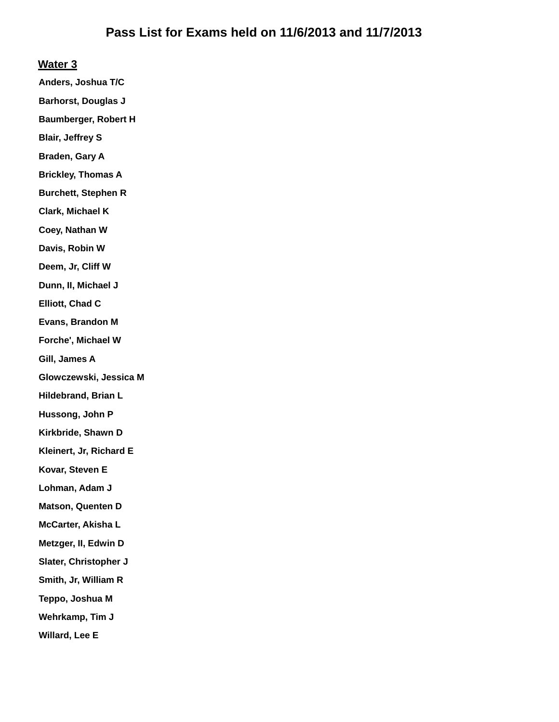**Anders, Joshua T/C**

**Barhorst, Douglas J**

**Baumberger, Robert H**

**Blair, Jeffrey S**

**Braden, Gary A**

**Brickley, Thomas A**

**Burchett, Stephen R**

**Clark, Michael K**

**Coey, Nathan W**

**Davis, Robin W**

**Deem, Jr, Cliff W**

**Dunn, II, Michael J**

**Elliott, Chad C**

**Evans, Brandon M**

**Forche', Michael W**

**Gill, James A**

**Glowczewski, Jessica M**

**Hildebrand, Brian L**

**Hussong, John P**

**Kirkbride, Shawn D**

**Kleinert, Jr, Richard E**

**Kovar, Steven E**

**Lohman, Adam J**

**Matson, Quenten D**

**McCarter, Akisha L**

**Metzger, II, Edwin D**

**Slater, Christopher J**

**Smith, Jr, William R**

**Teppo, Joshua M**

**Wehrkamp, Tim J**

**Willard, Lee E**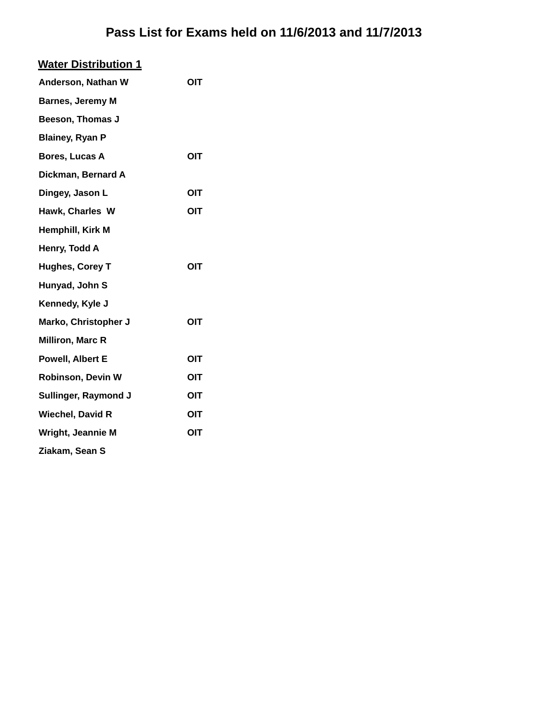| OIT |
|-----|
|     |
|     |
|     |
| OIT |
|     |
| OIT |
| OIT |
|     |
|     |
| OIT |
|     |
|     |
| OIT |
|     |
| OIT |
| OIT |
| OIT |
| OIT |
| OIT |
|     |
|     |